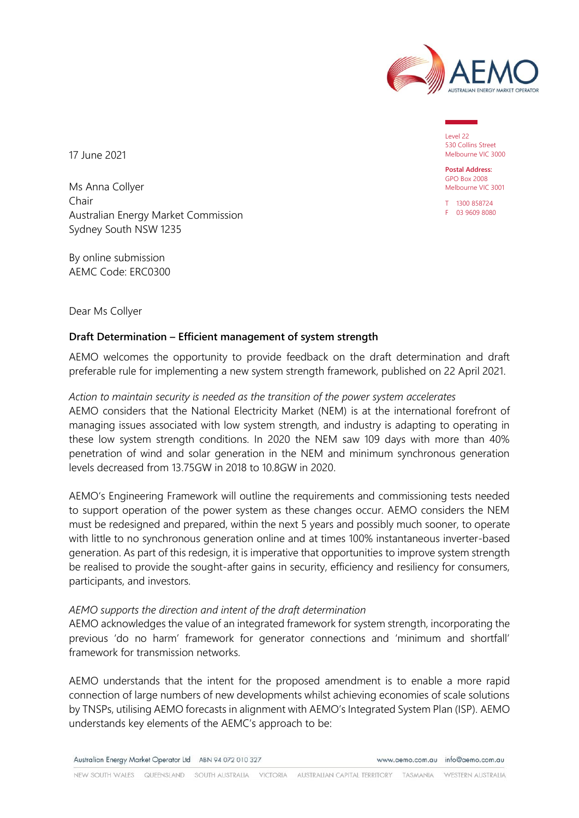

Level 22 530 Collins Street Melbourne VIC 3000

**Postal Address:** GPO Box 2008 Melbourne VIC 3001

T 1300 858724 F 03 9609 8080

17 June 2021

Ms Anna Collyer Chair Australian Energy Market Commission Sydney South NSW 1235

By online submission AEMC Code: ERC0300

Dear Ms Collyer

# **Draft Determination – Efficient management of system strength**

AEMO welcomes the opportunity to provide feedback on the draft determination and draft preferable rule for implementing a new system strength framework, published on 22 April 2021.

### *Action to maintain security is needed as the transition of the power system accelerates*

AEMO considers that the National Electricity Market (NEM) is at the international forefront of managing issues associated with low system strength, and industry is adapting to operating in these low system strength conditions. In 2020 the NEM saw 109 days with more than 40% penetration of wind and solar generation in the NEM and minimum synchronous generation levels decreased from 13.75GW in 2018 to 10.8GW in 2020.

AEMO's Engineering Framework will outline the requirements and commissioning tests needed to support operation of the power system as these changes occur. AEMO considers the NEM must be redesigned and prepared, within the next 5 years and possibly much sooner, to operate with little to no synchronous generation online and at times 100% instantaneous inverter-based generation. As part of this redesign, it is imperative that opportunities to improve system strength be realised to provide the sought-after gains in security, efficiency and resiliency for consumers, participants, and investors.

#### *AEMO supports the direction and intent of the draft determination*

AEMO acknowledges the value of an integrated framework for system strength, incorporating the previous 'do no harm' framework for generator connections and 'minimum and shortfall' framework for transmission networks.

AEMO understands that the intent for the proposed amendment is to enable a more rapid connection of large numbers of new developments whilst achieving economies of scale solutions by TNSPs, utilising AEMO forecasts in alignment with AEMO's Integrated System Plan (ISP). AEMO understands key elements of the AEMC's approach to be:

Australian Energy Market Operator Ltd ABN 94 072 010 327

www.gemo.com.gu info@gemo.com.gu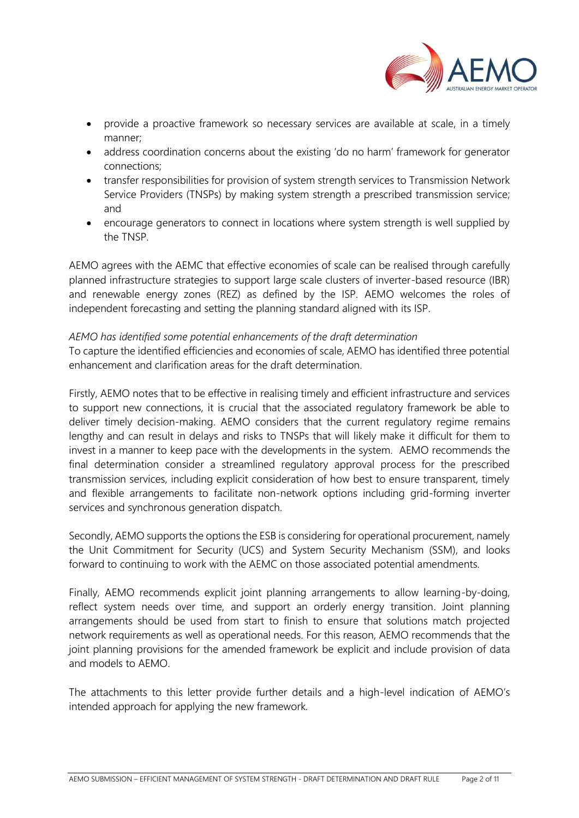

- provide a proactive framework so necessary services are available at scale, in a timely manner;
- address coordination concerns about the existing 'do no harm' framework for generator connections;
- transfer responsibilities for provision of system strength services to Transmission Network Service Providers (TNSPs) by making system strength a prescribed transmission service; and
- encourage generators to connect in locations where system strength is well supplied by the TNSP.

AEMO agrees with the AEMC that effective economies of scale can be realised through carefully planned infrastructure strategies to support large scale clusters of inverter-based resource (IBR) and renewable energy zones (REZ) as defined by the ISP. AEMO welcomes the roles of independent forecasting and setting the planning standard aligned with its ISP.

### *AEMO has identified some potential enhancements of the draft determination*

To capture the identified efficiencies and economies of scale, AEMO has identified three potential enhancement and clarification areas for the draft determination.

Firstly, AEMO notes that to be effective in realising timely and efficient infrastructure and services to support new connections, it is crucial that the associated regulatory framework be able to deliver timely decision-making. AEMO considers that the current regulatory regime remains lengthy and can result in delays and risks to TNSPs that will likely make it difficult for them to invest in a manner to keep pace with the developments in the system. AEMO recommends the final determination consider a streamlined regulatory approval process for the prescribed transmission services, including explicit consideration of how best to ensure transparent, timely and flexible arrangements to facilitate non-network options including grid-forming inverter services and synchronous generation dispatch.

Secondly, AEMO supports the options the ESB is considering for operational procurement, namely the Unit Commitment for Security (UCS) and System Security Mechanism (SSM), and looks forward to continuing to work with the AEMC on those associated potential amendments.

Finally, AEMO recommends explicit joint planning arrangements to allow learning-by-doing, reflect system needs over time, and support an orderly energy transition. Joint planning arrangements should be used from start to finish to ensure that solutions match projected network requirements as well as operational needs. For this reason, AEMO recommends that the joint planning provisions for the amended framework be explicit and include provision of data and models to AEMO.

The attachments to this letter provide further details and a high-level indication of AEMO's intended approach for applying the new framework.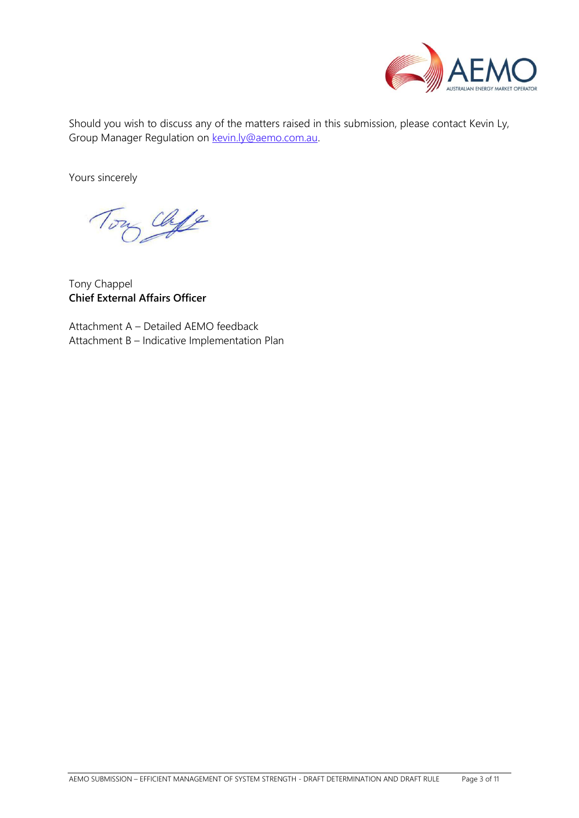

Should you wish to discuss any of the matters raised in this submission, please contact Kevin Ly, Group Manager Regulation on [kevin.ly@aemo.com.au.](mailto:kevin.ly@aemo.com.au)

Yours sincerely

chife

Tony Chappel **Chief External Affairs Officer**

Attachment A – Detailed AEMO feedback Attachment B – Indicative Implementation Plan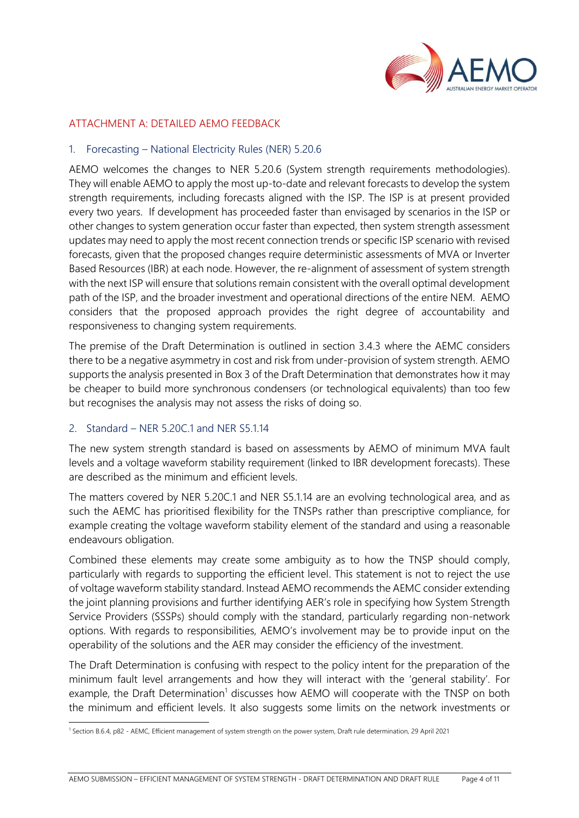

# ATTACHMENT A: DETAILED AEMO FEEDBACK

#### 1. Forecasting – National Electricity Rules (NER) 5.20.6

AEMO welcomes the changes to NER 5.20.6 (System strength requirements methodologies). They will enable AEMO to apply the most up-to-date and relevant forecasts to develop the system strength requirements, including forecasts aligned with the ISP. The ISP is at present provided every two years. If development has proceeded faster than envisaged by scenarios in the ISP or other changes to system generation occur faster than expected, then system strength assessment updates may need to apply the most recent connection trends or specific ISP scenario with revised forecasts, given that the proposed changes require deterministic assessments of MVA or Inverter Based Resources (IBR) at each node. However, the re-alignment of assessment of system strength with the next ISP will ensure that solutions remain consistent with the overall optimal development path of the ISP, and the broader investment and operational directions of the entire NEM. AEMO considers that the proposed approach provides the right degree of accountability and responsiveness to changing system requirements.

The premise of the Draft Determination is outlined in section 3.4.3 where the AEMC considers there to be a negative asymmetry in cost and risk from under-provision of system strength. AEMO supports the analysis presented in Box 3 of the Draft Determination that demonstrates how it may be cheaper to build more synchronous condensers (or technological equivalents) than too few but recognises the analysis may not assess the risks of doing so.

#### 2. Standard – NER 5.20C.1 and NER S5.1.14

The new system strength standard is based on assessments by AEMO of minimum MVA fault levels and a voltage waveform stability requirement (linked to IBR development forecasts). These are described as the minimum and efficient levels.

The matters covered by NER 5.20C.1 and NER S5.1.14 are an evolving technological area, and as such the AEMC has prioritised flexibility for the TNSPs rather than prescriptive compliance, for example creating the voltage waveform stability element of the standard and using a reasonable endeavours obligation.

Combined these elements may create some ambiguity as to how the TNSP should comply, particularly with regards to supporting the efficient level. This statement is not to reject the use of voltage waveform stability standard. Instead AEMO recommends the AEMC consider extending the joint planning provisions and further identifying AER's role in specifying how System Strength Service Providers (SSSPs) should comply with the standard, particularly regarding non-network options. With regards to responsibilities, AEMO's involvement may be to provide input on the operability of the solutions and the AER may consider the efficiency of the investment.

The Draft Determination is confusing with respect to the policy intent for the preparation of the minimum fault level arrangements and how they will interact with the 'general stability'. For example, the Draft Determination<sup>1</sup> discusses how AEMO will cooperate with the TNSP on both the minimum and efficient levels. It also suggests some limits on the network investments or

<sup>1</sup> Section B.6.4, p82 - AEMC, Efficient management of system strength on the power system, Draft rule determination, 29 April 2021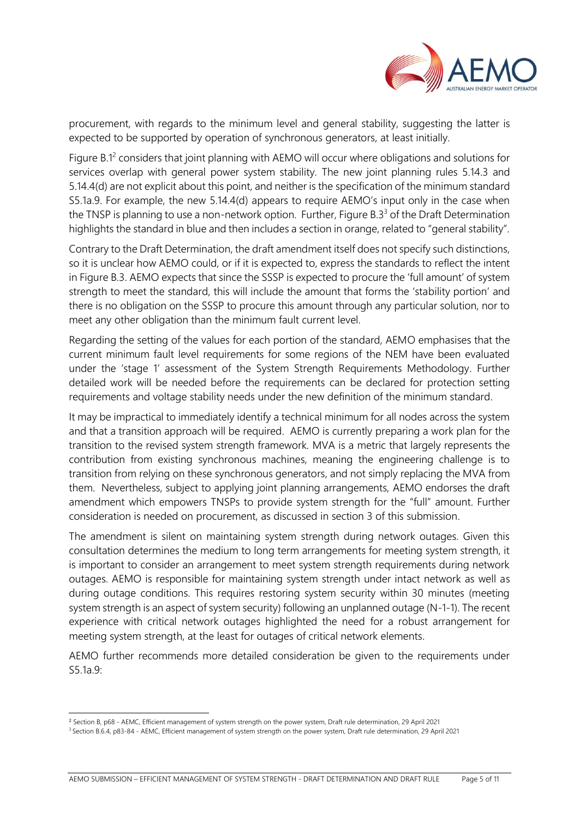

procurement, with regards to the minimum level and general stability, suggesting the latter is expected to be supported by operation of synchronous generators, at least initially.

Figure B.1<sup>2</sup> considers that joint planning with AEMO will occur where obligations and solutions for services overlap with general power system stability. The new joint planning rules 5.14.3 and 5.14.4(d) are not explicit about this point, and neither is the specification of the minimum standard S5.1a.9. For example, the new 5.14.4(d) appears to require AEMO's input only in the case when the TNSP is planning to use a non-network option. Further, Figure B.3 $3$  of the Draft Determination highlights the standard in blue and then includes a section in orange, related to "general stability".

Contrary to the Draft Determination, the draft amendment itself does not specify such distinctions, so it is unclear how AEMO could, or if it is expected to, express the standards to reflect the intent in Figure B.3. AEMO expects that since the SSSP is expected to procure the 'full amount' of system strength to meet the standard, this will include the amount that forms the 'stability portion' and there is no obligation on the SSSP to procure this amount through any particular solution, nor to meet any other obligation than the minimum fault current level.

Regarding the setting of the values for each portion of the standard, AEMO emphasises that the current minimum fault level requirements for some regions of the NEM have been evaluated under the 'stage 1' assessment of the System Strength Requirements Methodology. Further detailed work will be needed before the requirements can be declared for protection setting requirements and voltage stability needs under the new definition of the minimum standard.

It may be impractical to immediately identify a technical minimum for all nodes across the system and that a transition approach will be required. AEMO is currently preparing a work plan for the transition to the revised system strength framework. MVA is a metric that largely represents the contribution from existing synchronous machines, meaning the engineering challenge is to transition from relying on these synchronous generators, and not simply replacing the MVA from them. Nevertheless, subject to applying joint planning arrangements, AEMO endorses the draft amendment which empowers TNSPs to provide system strength for the "full" amount. Further consideration is needed on procurement, as discussed in section 3 of this submission.

The amendment is silent on maintaining system strength during network outages. Given this consultation determines the medium to long term arrangements for meeting system strength, it is important to consider an arrangement to meet system strength requirements during network outages. AEMO is responsible for maintaining system strength under intact network as well as during outage conditions. This requires restoring system security within 30 minutes (meeting system strength is an aspect of system security) following an unplanned outage (N-1-1). The recent experience with critical network outages highlighted the need for a robust arrangement for meeting system strength, at the least for outages of critical network elements.

AEMO further recommends more detailed consideration be given to the requirements under S5.1a.9:

<sup>2</sup> Section B, p68 - AEMC, Efficient management of system strength on the power system, Draft rule determination, 29 April 2021

<sup>3</sup> Section B.6.4, p83-84 - AEMC, Efficient management of system strength on the power system, Draft rule determination, 29 April 2021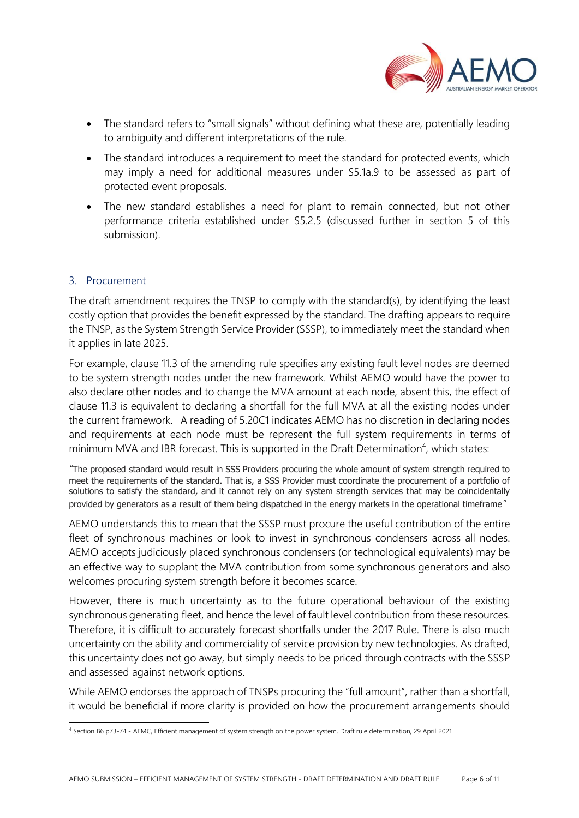

- The standard refers to "small signals" without defining what these are, potentially leading to ambiguity and different interpretations of the rule.
- The standard introduces a requirement to meet the standard for protected events, which may imply a need for additional measures under S5.1a.9 to be assessed as part of protected event proposals.
- The new standard establishes a need for plant to remain connected, but not other performance criteria established under S5.2.5 (discussed further in section 5 of this submission).

### 3. Procurement

The draft amendment requires the TNSP to comply with the standard(s), by identifying the least costly option that provides the benefit expressed by the standard. The drafting appears to require the TNSP, as the System Strength Service Provider (SSSP), to immediately meet the standard when it applies in late 2025.

For example, clause 11.3 of the amending rule specifies any existing fault level nodes are deemed to be system strength nodes under the new framework. Whilst AEMO would have the power to also declare other nodes and to change the MVA amount at each node, absent this, the effect of clause 11.3 is equivalent to declaring a shortfall for the full MVA at all the existing nodes under the current framework. A reading of 5.20C1 indicates AEMO has no discretion in declaring nodes and requirements at each node must be represent the full system requirements in terms of minimum MVA and IBR forecast. This is supported in the Draft Determination<sup>4</sup>, which states:

*"*The proposed standard would result in SSS Providers procuring the whole amount of system strength required to meet the requirements of the standard. That is, a SSS Provider must coordinate the procurement of a portfolio of solutions to satisfy the standard, and it cannot rely on any system strength services that may be coincidentally provided by generators as a result of them being dispatched in the energy markets in the operational timeframe*"*

AEMO understands this to mean that the SSSP must procure the useful contribution of the entire fleet of synchronous machines or look to invest in synchronous condensers across all nodes. AEMO accepts judiciously placed synchronous condensers (or technological equivalents) may be an effective way to supplant the MVA contribution from some synchronous generators and also welcomes procuring system strength before it becomes scarce.

However, there is much uncertainty as to the future operational behaviour of the existing synchronous generating fleet, and hence the level of fault level contribution from these resources. Therefore, it is difficult to accurately forecast shortfalls under the 2017 Rule. There is also much uncertainty on the ability and commerciality of service provision by new technologies. As drafted, this uncertainty does not go away, but simply needs to be priced through contracts with the SSSP and assessed against network options.

While AEMO endorses the approach of TNSPs procuring the "full amount", rather than a shortfall, it would be beneficial if more clarity is provided on how the procurement arrangements should

<sup>4</sup> Section B6 p73-74 - AEMC, Efficient management of system strength on the power system, Draft rule determination, 29 April 2021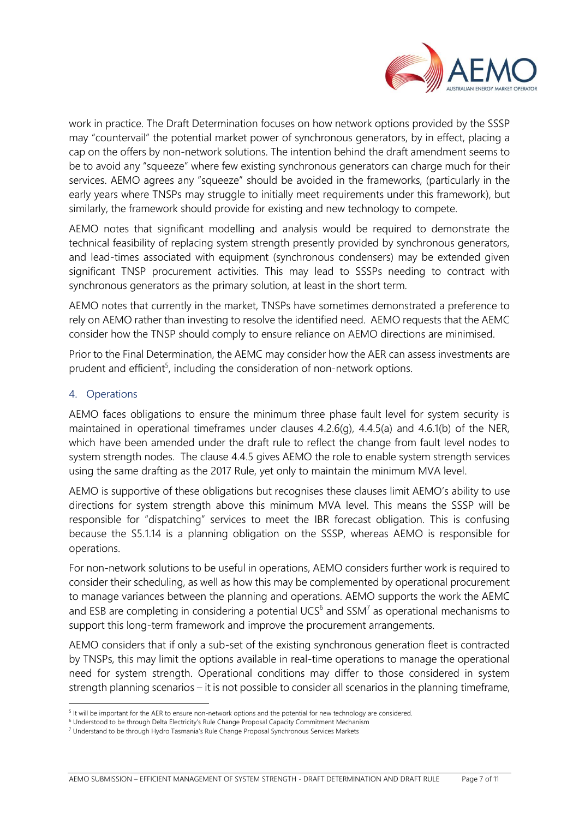

work in practice. The Draft Determination focuses on how network options provided by the SSSP may "countervail" the potential market power of synchronous generators, by in effect, placing a cap on the offers by non-network solutions. The intention behind the draft amendment seems to be to avoid any "squeeze" where few existing synchronous generators can charge much for their services. AEMO agrees any "squeeze" should be avoided in the frameworks, (particularly in the early years where TNSPs may struggle to initially meet requirements under this framework), but similarly, the framework should provide for existing and new technology to compete.

AEMO notes that significant modelling and analysis would be required to demonstrate the technical feasibility of replacing system strength presently provided by synchronous generators, and lead-times associated with equipment (synchronous condensers) may be extended given significant TNSP procurement activities. This may lead to SSSPs needing to contract with synchronous generators as the primary solution, at least in the short term.

AEMO notes that currently in the market, TNSPs have sometimes demonstrated a preference to rely on AEMO rather than investing to resolve the identified need. AEMO requests that the AEMC consider how the TNSP should comply to ensure reliance on AEMO directions are minimised.

Prior to the Final Determination, the AEMC may consider how the AER can assess investments are prudent and efficient<sup>5</sup>, including the consideration of non-network options.

### 4. Operations

AEMO faces obligations to ensure the minimum three phase fault level for system security is maintained in operational timeframes under clauses 4.2.6(g), 4.4.5(a) and 4.6.1(b) of the NER, which have been amended under the draft rule to reflect the change from fault level nodes to system strength nodes. The clause 4.4.5 gives AEMO the role to enable system strength services using the same drafting as the 2017 Rule, yet only to maintain the minimum MVA level.

AEMO is supportive of these obligations but recognises these clauses limit AEMO's ability to use directions for system strength above this minimum MVA level. This means the SSSP will be responsible for "dispatching" services to meet the IBR forecast obligation. This is confusing because the S5.1.14 is a planning obligation on the SSSP, whereas AEMO is responsible for operations.

For non-network solutions to be useful in operations, AEMO considers further work is required to consider their scheduling, as well as how this may be complemented by operational procurement to manage variances between the planning and operations. AEMO supports the work the AEMC and ESB are completing in considering a potential UCS<sup>6</sup> and SSM<sup>7</sup> as operational mechanisms to support this long-term framework and improve the procurement arrangements.

AEMO considers that if only a sub-set of the existing synchronous generation fleet is contracted by TNSPs, this may limit the options available in real-time operations to manage the operational need for system strength. Operational conditions may differ to those considered in system strength planning scenarios – it is not possible to consider all scenarios in the planning timeframe,

<sup>&</sup>lt;sup>5</sup> It will be important for the AER to ensure non-network options and the potential for new technology are considered.

<sup>&</sup>lt;sup>6</sup> Understood to be through Delta Electricity's Rule Change Proposal Capacity Commitment Mechanism

<sup>7</sup> Understand to be through Hydro Tasmania's Rule Change Proposal Synchronous Services Markets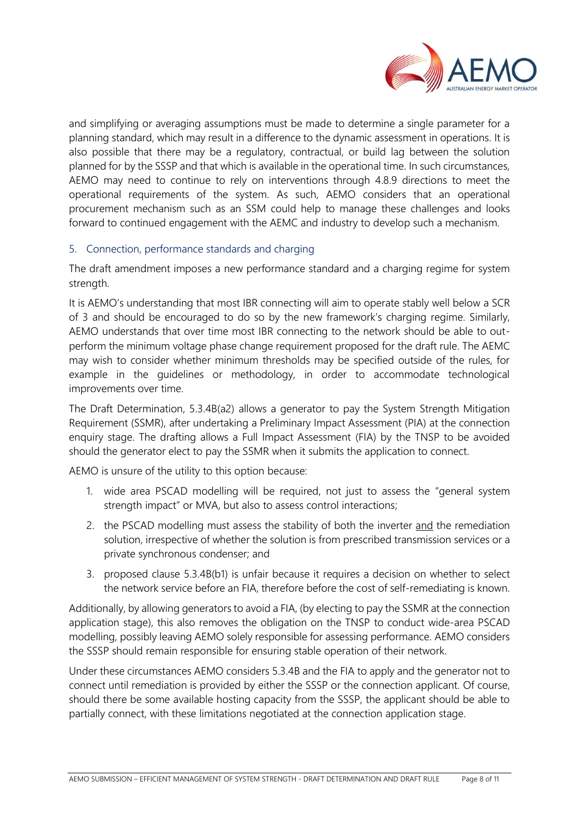

and simplifying or averaging assumptions must be made to determine a single parameter for a planning standard, which may result in a difference to the dynamic assessment in operations. It is also possible that there may be a regulatory, contractual, or build lag between the solution planned for by the SSSP and that which is available in the operational time. In such circumstances, AEMO may need to continue to rely on interventions through 4.8.9 directions to meet the operational requirements of the system. As such, AEMO considers that an operational procurement mechanism such as an SSM could help to manage these challenges and looks forward to continued engagement with the AEMC and industry to develop such a mechanism.

### 5. Connection, performance standards and charging

The draft amendment imposes a new performance standard and a charging regime for system strength.

It is AEMO's understanding that most IBR connecting will aim to operate stably well below a SCR of 3 and should be encouraged to do so by the new framework's charging regime. Similarly, AEMO understands that over time most IBR connecting to the network should be able to outperform the minimum voltage phase change requirement proposed for the draft rule. The AEMC may wish to consider whether minimum thresholds may be specified outside of the rules, for example in the guidelines or methodology, in order to accommodate technological improvements over time.

The Draft Determination, 5.3.4B(a2) allows a generator to pay the System Strength Mitigation Requirement (SSMR), after undertaking a Preliminary Impact Assessment (PIA) at the connection enquiry stage. The drafting allows a Full Impact Assessment (FIA) by the TNSP to be avoided should the generator elect to pay the SSMR when it submits the application to connect.

AEMO is unsure of the utility to this option because:

- 1. wide area PSCAD modelling will be required, not just to assess the "general system strength impact" or MVA, but also to assess control interactions;
- 2. the PSCAD modelling must assess the stability of both the inverter and the remediation solution, irrespective of whether the solution is from prescribed transmission services or a private synchronous condenser; and
- 3. proposed clause 5.3.4B(b1) is unfair because it requires a decision on whether to select the network service before an FIA, therefore before the cost of self-remediating is known.

Additionally, by allowing generators to avoid a FIA, (by electing to pay the SSMR at the connection application stage), this also removes the obligation on the TNSP to conduct wide-area PSCAD modelling, possibly leaving AEMO solely responsible for assessing performance. AEMO considers the SSSP should remain responsible for ensuring stable operation of their network.

Under these circumstances AEMO considers 5.3.4B and the FIA to apply and the generator not to connect until remediation is provided by either the SSSP or the connection applicant. Of course, should there be some available hosting capacity from the SSSP, the applicant should be able to partially connect, with these limitations negotiated at the connection application stage.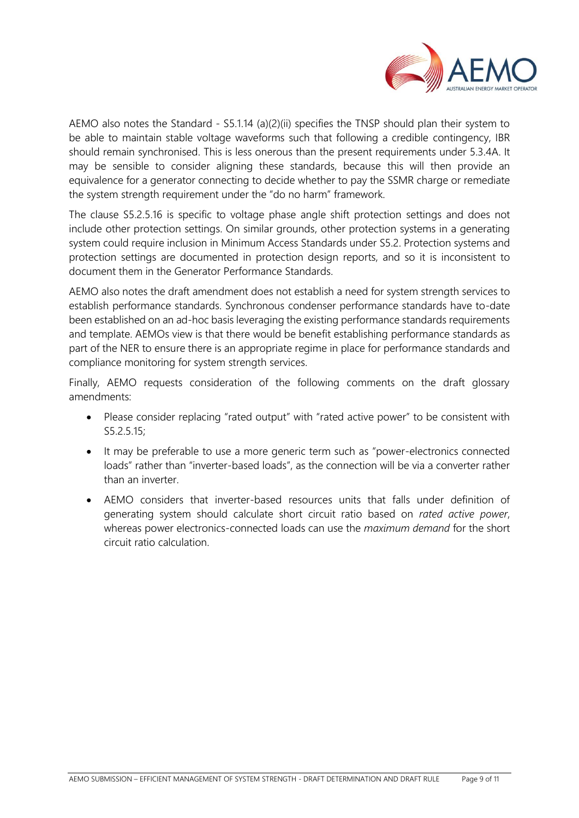

AEMO also notes the Standard - S5.1.14 (a)(2)(ii) specifies the TNSP should plan their system to be able to maintain stable voltage waveforms such that following a credible contingency, IBR should remain synchronised. This is less onerous than the present requirements under 5.3.4A. It may be sensible to consider aligning these standards, because this will then provide an equivalence for a generator connecting to decide whether to pay the SSMR charge or remediate the system strength requirement under the "do no harm" framework.

The clause S5.2.5.16 is specific to voltage phase angle shift protection settings and does not include other protection settings. On similar grounds, other protection systems in a generating system could require inclusion in Minimum Access Standards under S5.2. Protection systems and protection settings are documented in protection design reports, and so it is inconsistent to document them in the Generator Performance Standards.

AEMO also notes the draft amendment does not establish a need for system strength services to establish performance standards. Synchronous condenser performance standards have to-date been established on an ad-hoc basis leveraging the existing performance standards requirements and template. AEMOs view is that there would be benefit establishing performance standards as part of the NER to ensure there is an appropriate regime in place for performance standards and compliance monitoring for system strength services.

Finally, AEMO requests consideration of the following comments on the draft glossary amendments:

- Please consider replacing "rated output" with "rated active power" to be consistent with S5.2.5.15;
- It may be preferable to use a more generic term such as "power-electronics connected loads" rather than "inverter-based loads", as the connection will be via a converter rather than an inverter.
- AEMO considers that inverter-based resources units that falls under definition of generating system should calculate short circuit ratio based on *rated active power*, whereas power electronics-connected loads can use the *maximum demand* for the short circuit ratio calculation.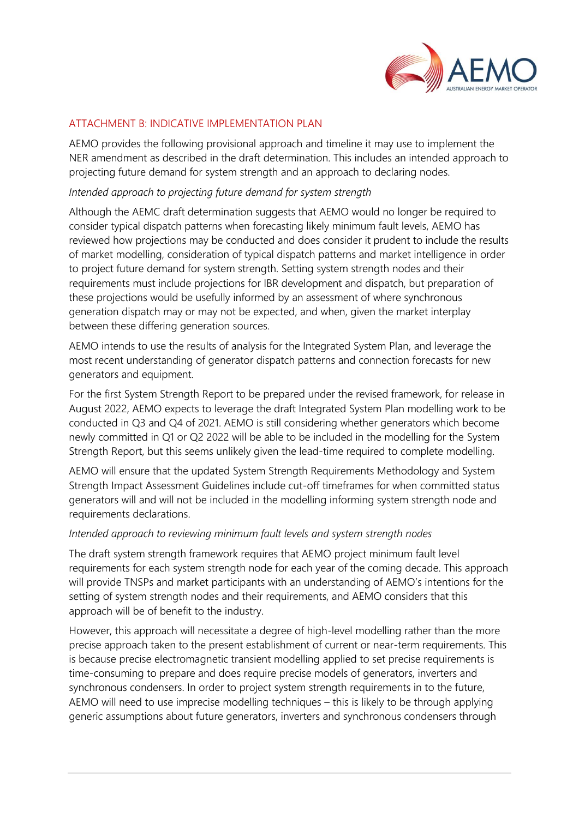

## ATTACHMENT B: INDICATIVE IMPLEMENTATION PLAN

AEMO provides the following provisional approach and timeline it may use to implement the NER amendment as described in the draft determination. This includes an intended approach to projecting future demand for system strength and an approach to declaring nodes.

#### *Intended approach to projecting future demand for system strength*

Although the AEMC draft determination suggests that AEMO would no longer be required to consider typical dispatch patterns when forecasting likely minimum fault levels, AEMO has reviewed how projections may be conducted and does consider it prudent to include the results of market modelling, consideration of typical dispatch patterns and market intelligence in order to project future demand for system strength. Setting system strength nodes and their requirements must include projections for IBR development and dispatch, but preparation of these projections would be usefully informed by an assessment of where synchronous generation dispatch may or may not be expected, and when, given the market interplay between these differing generation sources.

AEMO intends to use the results of analysis for the Integrated System Plan, and leverage the most recent understanding of generator dispatch patterns and connection forecasts for new generators and equipment.

For the first System Strength Report to be prepared under the revised framework, for release in August 2022, AEMO expects to leverage the draft Integrated System Plan modelling work to be conducted in Q3 and Q4 of 2021. AEMO is still considering whether generators which become newly committed in Q1 or Q2 2022 will be able to be included in the modelling for the System Strength Report, but this seems unlikely given the lead-time required to complete modelling.

AEMO will ensure that the updated System Strength Requirements Methodology and System Strength Impact Assessment Guidelines include cut-off timeframes for when committed status generators will and will not be included in the modelling informing system strength node and requirements declarations.

#### *Intended approach to reviewing minimum fault levels and system strength nodes*

The draft system strength framework requires that AEMO project minimum fault level requirements for each system strength node for each year of the coming decade. This approach will provide TNSPs and market participants with an understanding of AEMO's intentions for the setting of system strength nodes and their requirements, and AEMO considers that this approach will be of benefit to the industry.

However, this approach will necessitate a degree of high-level modelling rather than the more precise approach taken to the present establishment of current or near-term requirements. This is because precise electromagnetic transient modelling applied to set precise requirements is time-consuming to prepare and does require precise models of generators, inverters and synchronous condensers. In order to project system strength requirements in to the future, AEMO will need to use imprecise modelling techniques – this is likely to be through applying generic assumptions about future generators, inverters and synchronous condensers through